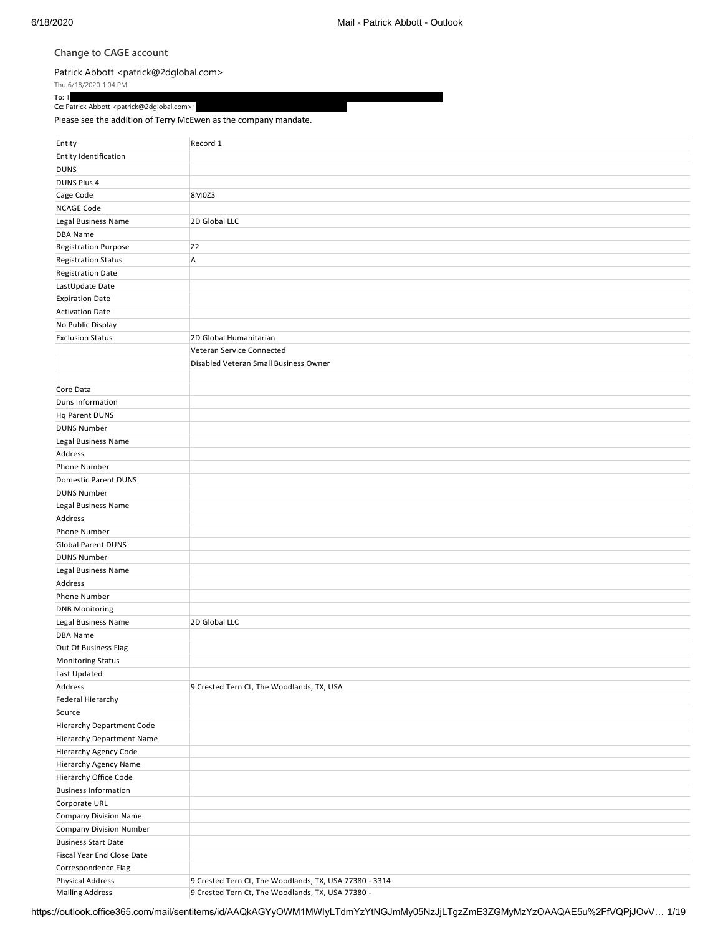## **Change to CAGE account**

## [Patrick Abbott <patrick@2dglobal.com>](mailto:patrick@2dglobal.com)

Thu 6/18/2020 1:04 PM

**To: T**erry McCewen and the comparison of the comparison of the comparison of the comparison of the comparison of the comparison of the comparison of the comparison of the comparison of the comparison of the comparison of **Cc:** Patrick Abbott <patrick@2dglobal.com>;  $\overline{\phantom{a}}$ 

Please see the addition of Terry McEwen as the company mandate.

| Entity                           | Record 1                                               |
|----------------------------------|--------------------------------------------------------|
|                                  |                                                        |
| Entity Identification            |                                                        |
| <b>DUNS</b>                      |                                                        |
| DUNS Plus 4                      |                                                        |
| Cage Code                        | 8M0Z3                                                  |
| <b>NCAGE Code</b>                |                                                        |
| Legal Business Name              | 2D Global LLC                                          |
| <b>DBA Name</b>                  |                                                        |
| <b>Registration Purpose</b>      | Z <sub>2</sub>                                         |
| <b>Registration Status</b>       | A                                                      |
| <b>Registration Date</b>         |                                                        |
| LastUpdate Date                  |                                                        |
| <b>Expiration Date</b>           |                                                        |
| <b>Activation Date</b>           |                                                        |
| No Public Display                |                                                        |
| <b>Exclusion Status</b>          | 2D Global Humanitarian                                 |
|                                  | Veteran Service Connected                              |
|                                  | Disabled Veteran Small Business Owner                  |
|                                  |                                                        |
| Core Data                        |                                                        |
| Duns Information                 |                                                        |
| <b>Hq Parent DUNS</b>            |                                                        |
| <b>DUNS Number</b>               |                                                        |
| Legal Business Name              |                                                        |
| Address                          |                                                        |
| <b>Phone Number</b>              |                                                        |
| Domestic Parent DUNS             |                                                        |
| <b>DUNS Number</b>               |                                                        |
| Legal Business Name              |                                                        |
| Address                          |                                                        |
| Phone Number                     |                                                        |
| <b>Global Parent DUNS</b>        |                                                        |
| <b>DUNS Number</b>               |                                                        |
|                                  |                                                        |
| Legal Business Name              |                                                        |
| Address                          |                                                        |
| <b>Phone Number</b>              |                                                        |
| <b>DNB Monitoring</b>            |                                                        |
| Legal Business Name              | 2D Global LLC                                          |
| DBA Name                         |                                                        |
| Out Of Business Flag             |                                                        |
| Monitoring Status                |                                                        |
| Last Updated                     |                                                        |
| Address                          | 9 Crested Tern Ct, The Woodlands, TX, USA              |
| Federal Hierarchy                |                                                        |
| Source                           |                                                        |
| Hierarchy Department Code        |                                                        |
| <b>Hierarchy Department Name</b> |                                                        |
| <b>Hierarchy Agency Code</b>     |                                                        |
| Hierarchy Agency Name            |                                                        |
| Hierarchy Office Code            |                                                        |
| <b>Business Information</b>      |                                                        |
| Corporate URL                    |                                                        |
| <b>Company Division Name</b>     |                                                        |
| <b>Company Division Number</b>   |                                                        |
| <b>Business Start Date</b>       |                                                        |
| Fiscal Year End Close Date       |                                                        |
| Correspondence Flag              |                                                        |
| <b>Physical Address</b>          | 9 Crested Tern Ct, The Woodlands, TX, USA 77380 - 3314 |
| <b>Mailing Address</b>           | 9 Crested Tern Ct, The Woodlands, TX, USA 77380 -      |

https://outlook.office365.com/mail/sentitems/id/AAQkAGYyOWM1MWIyLTdmYzYtNGJmMy05NzJjLTgzZmE3ZGMyMzYzOAAQAE5u%2FfVQPjJOvV… 1/19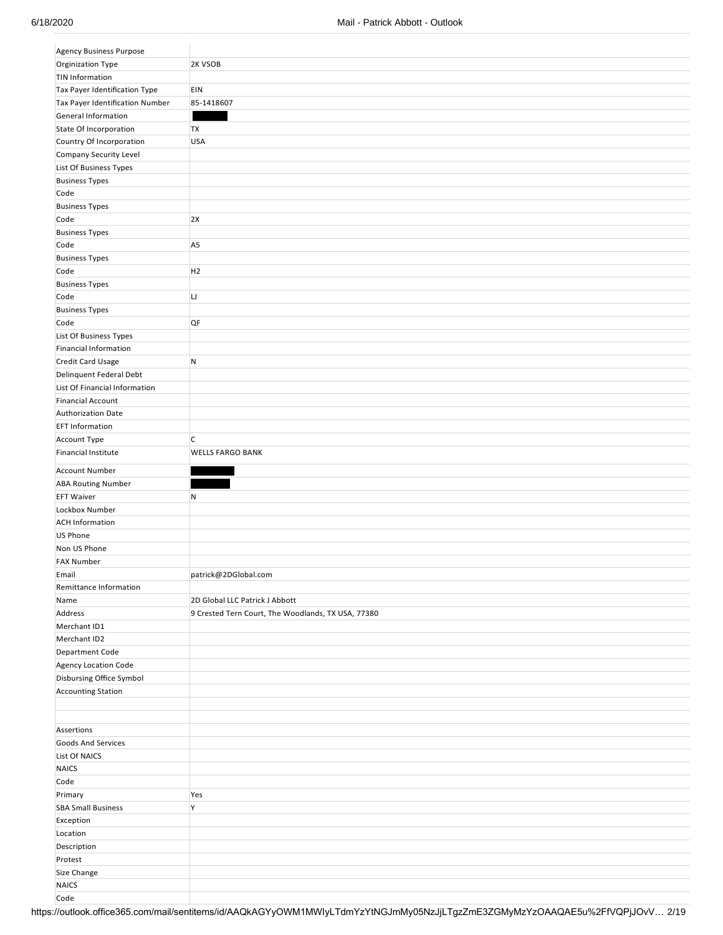| <b>Agency Business Purpose</b>  |                                                    |
|---------------------------------|----------------------------------------------------|
| Orginization Type               | 2K VSOB                                            |
| <b>TIN Information</b>          |                                                    |
| Tax Payer Identification Type   | EIN                                                |
| Tax Payer Identification Number | 85-1418607                                         |
| General Information             |                                                    |
| State Of Incorporation          | <b>TX</b>                                          |
| Country Of Incorporation        | <b>USA</b>                                         |
| Company Security Level          |                                                    |
| List Of Business Types          |                                                    |
| <b>Business Types</b>           |                                                    |
| Code                            |                                                    |
| <b>Business Types</b>           |                                                    |
| Code                            | 2X                                                 |
| <b>Business Types</b>           |                                                    |
| Code                            | A <sub>5</sub>                                     |
| <b>Business Types</b>           |                                                    |
| Code                            | H <sub>2</sub>                                     |
|                                 |                                                    |
| <b>Business Types</b><br>Code   |                                                    |
|                                 | IJ                                                 |
| <b>Business Types</b>           |                                                    |
| Code                            | QF                                                 |
| List Of Business Types          |                                                    |
| Financial Information           |                                                    |
| Credit Card Usage               | ${\sf N}$                                          |
| Delinquent Federal Debt         |                                                    |
| List Of Financial Information   |                                                    |
| <b>Financial Account</b>        |                                                    |
| Authorization Date              |                                                    |
| <b>EFT Information</b>          |                                                    |
| Account Type                    | C                                                  |
| <b>Financial Institute</b>      | <b>WELLS FARGO BANK</b>                            |
| Account Number                  |                                                    |
|                                 |                                                    |
|                                 |                                                    |
| <b>ABA Routing Number</b>       |                                                    |
| <b>EFT Waiver</b>               | $\mathsf{N}$                                       |
| Lockbox Number                  |                                                    |
| <b>ACH Information</b>          |                                                    |
| US Phone                        |                                                    |
| Non US Phone                    |                                                    |
| <b>FAX Number</b>               |                                                    |
| Email                           | patrick@2DGlobal.com                               |
| Remittance Information          |                                                    |
| Name                            | 2D Global LLC Patrick J Abbott                     |
| Address                         | 9 Crested Tern Court, The Woodlands, TX USA, 77380 |
| Merchant ID1                    |                                                    |
| Merchant ID2                    |                                                    |
| Department Code                 |                                                    |
| Agency Location Code            |                                                    |
| Disbursing Office Symbol        |                                                    |
| <b>Accounting Station</b>       |                                                    |
|                                 |                                                    |
|                                 |                                                    |
| Assertions                      |                                                    |
| Goods And Services              |                                                    |
| List Of NAICS                   |                                                    |
| NAICS                           |                                                    |
| Code                            |                                                    |
| Primary                         | Yes                                                |
| <b>SBA Small Business</b>       | Y                                                  |
| Exception                       |                                                    |
| Location                        |                                                    |
| Description                     |                                                    |
| Protest                         |                                                    |
| Size Change                     |                                                    |
| <b>NAICS</b>                    |                                                    |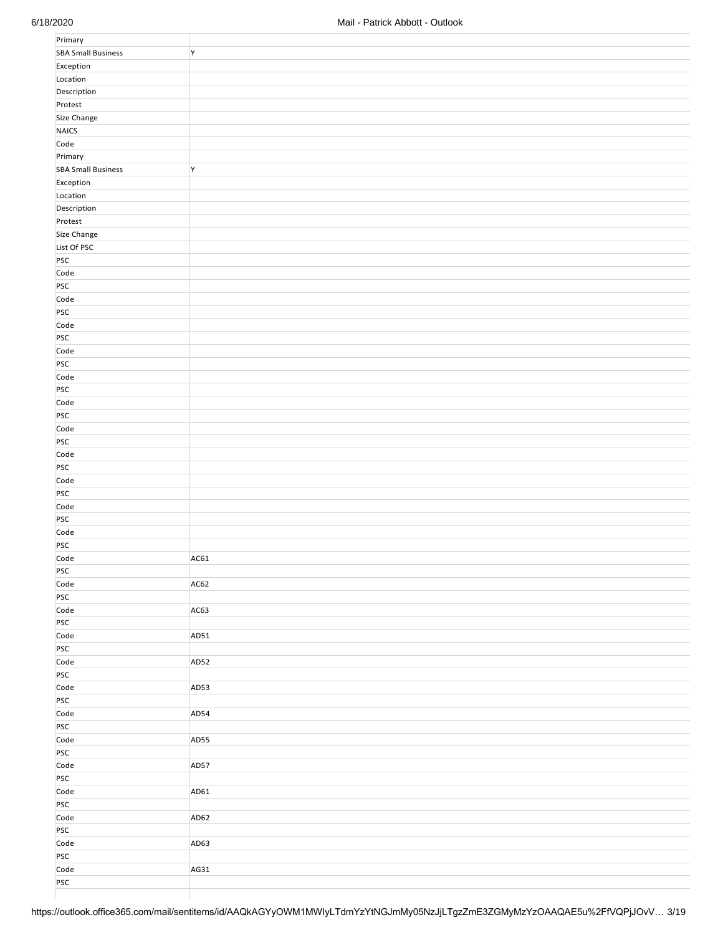| Primary                   |      |
|---------------------------|------|
| <b>SBA Small Business</b> | Y    |
| Exception                 |      |
| Location                  |      |
| Description               |      |
| Protest                   |      |
| Size Change               |      |
| NAICS                     |      |
|                           |      |
| Code                      |      |
| Primary                   |      |
| <b>SBA Small Business</b> | Y    |
| Exception                 |      |
| Location                  |      |
| Description               |      |
| Protest                   |      |
| Size Change               |      |
| List Of PSC               |      |
| PSC                       |      |
| Code                      |      |
| PSC                       |      |
| Code                      |      |
| PSC                       |      |
| Code                      |      |
| PSC                       |      |
| Code                      |      |
| PSC                       |      |
|                           |      |
| Code                      |      |
| PSC                       |      |
| Code                      |      |
| PSC                       |      |
| Code                      |      |
| PSC                       |      |
| Code                      |      |
| PSC                       |      |
| Code                      |      |
| PSC                       |      |
| Code                      |      |
| PSC                       |      |
| Code                      |      |
| PSC                       |      |
| Code                      | AC61 |
| PSC                       |      |
| Code                      | AC62 |
| PSC                       |      |
|                           |      |
| Code                      | AC63 |
| PSC                       |      |
| Code                      | AD51 |
| PSC                       |      |
| Code                      | AD52 |
| PSC                       |      |
| Code                      | AD53 |
| PSC                       |      |
| Code                      | AD54 |
| PSC                       |      |
| Code                      | AD55 |
| PSC                       |      |
| Code                      | AD57 |
| PSC                       |      |
| Code                      | AD61 |
| PSC                       |      |
| Code                      | AD62 |
| PSC                       |      |
| Code                      | AD63 |
| PSC                       |      |
| Code                      | AG31 |
| PSC                       |      |
|                           |      |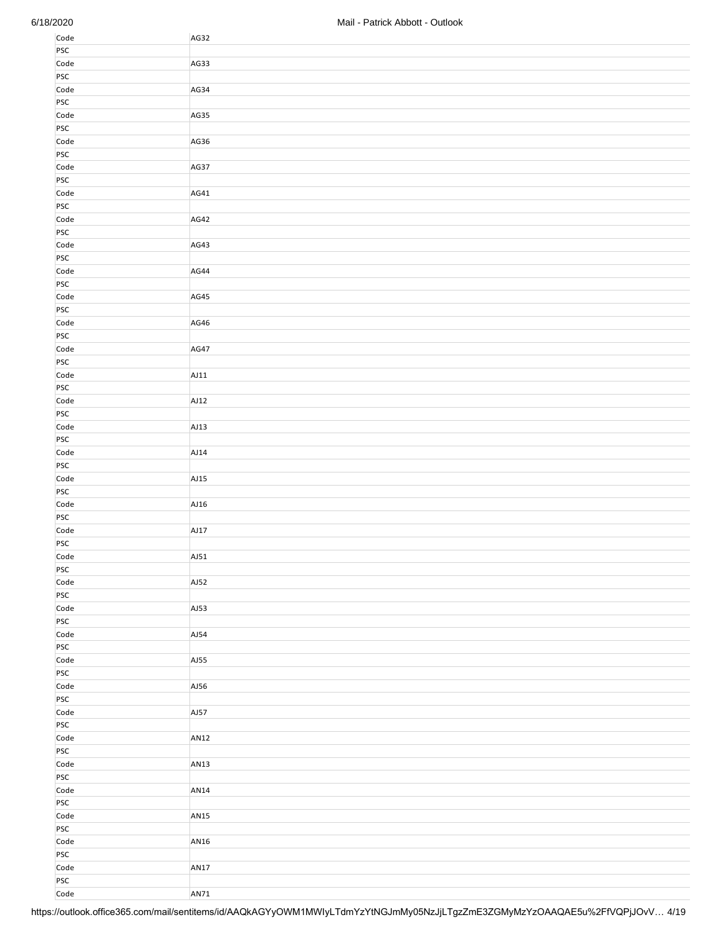| Code | AG32             |
|------|------------------|
| PSC  |                  |
| Code | AG33             |
| PSC  |                  |
|      |                  |
| Code | AG34             |
| PSC  |                  |
| Code | AG35             |
| PSC  |                  |
| Code | AG36             |
| PSC  |                  |
| Code | AG37             |
| PSC  |                  |
| Code | AG41             |
| PSC  |                  |
| Code | AG42             |
| PSC  |                  |
| Code | AG43             |
|      |                  |
| PSC  |                  |
| Code | AG44             |
| PSC  |                  |
| Code | AG45             |
| PSC  |                  |
| Code | AG46             |
| PSC  |                  |
| Code | AG47             |
| PSC  |                  |
| Code | AJ11             |
| PSC  |                  |
| Code | AJ12             |
| PSC  |                  |
| Code | AJ13             |
| PSC  |                  |
|      |                  |
| Code | AJ14             |
| PSC  |                  |
| Code | AJ15             |
| PSC  |                  |
| Code | AJ16             |
| PSC  |                  |
| Code | AJ17             |
| PSC  |                  |
| Code | AJ51             |
| PSC  |                  |
| Code | AJ52             |
| PSC  |                  |
| Code | AJ53             |
| PSC  |                  |
| Code | AJ54             |
| PSC  |                  |
|      |                  |
| Code | AJ55             |
| PSC  |                  |
| Code | AJ56             |
| PSC  |                  |
| Code | AJ57             |
| PSC  |                  |
| Code | <b>AN12</b>      |
| PSC  |                  |
| Code | <b>AN13</b>      |
| PSC  |                  |
| Code | AN14             |
| PSC  |                  |
| Code | AN <sub>15</sub> |
| PSC  |                  |
| Code | AN16             |
| PSC  |                  |
| Code | <b>AN17</b>      |
| PSC  |                  |
| Code | AN71             |
|      |                  |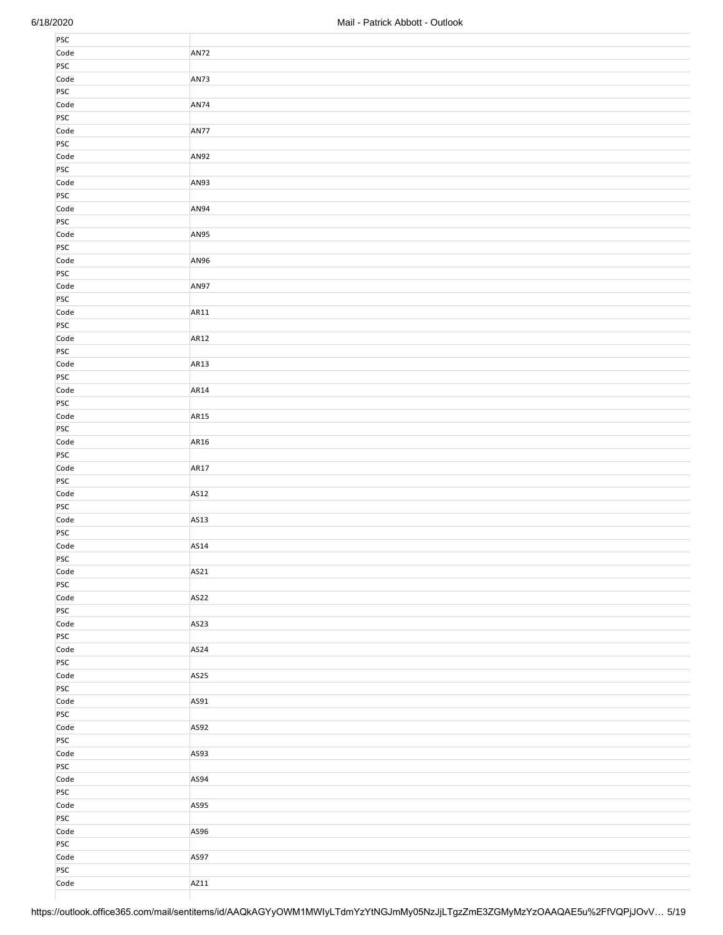| PSC         |             |
|-------------|-------------|
|             |             |
| Code        | <b>AN72</b> |
| PSC         |             |
| Code        | AN73        |
|             |             |
| PSC         |             |
| Code        | AN74        |
| PSC         |             |
| Code        | <b>AN77</b> |
|             |             |
| PSC         |             |
| Code        | AN92        |
| PSC         |             |
| Code        | AN93        |
| PSC         |             |
|             |             |
| Code        | AN94        |
| PSC         |             |
| Code        | AN95        |
| PSC         |             |
|             |             |
| Code        | AN96        |
| PSC         |             |
| Code        | AN97        |
| PSC         |             |
|             |             |
| Code        | AR11        |
| PSC         |             |
| Code        | AR12        |
| PSC         |             |
|             |             |
| Code        | AR13        |
| PSC         |             |
| Code        | AR14        |
| PSC         |             |
| Code        | AR15        |
|             |             |
| PSC         |             |
| Code        | AR16        |
| PSC         |             |
| Code        | AR17        |
|             |             |
| PSC         |             |
| Code        | AS12        |
| PSC         |             |
| Code        | AS13        |
|             |             |
| PSC         |             |
| Code        | AS14        |
| PSC         |             |
|             |             |
|             |             |
| Code        | AS21        |
| PSC         |             |
| Code        | AS22        |
| PSC         |             |
|             |             |
| Code        | AS23        |
| PSC         |             |
| Code        | AS24        |
| PSC         |             |
| Code        | AS25        |
|             |             |
| <b>PSC</b>  |             |
| Code        | AS91        |
| PSC         |             |
| Code        | AS92        |
| PSC         |             |
|             |             |
| Code        | AS93        |
| <b>PSC</b>  |             |
| Code        | AS94        |
| PSC         |             |
|             |             |
| Code        | AS95        |
| PSC         |             |
| Code        | AS96        |
| <b>PSC</b>  |             |
|             | AS97        |
| Code        |             |
| PSC<br>Code | AZ11        |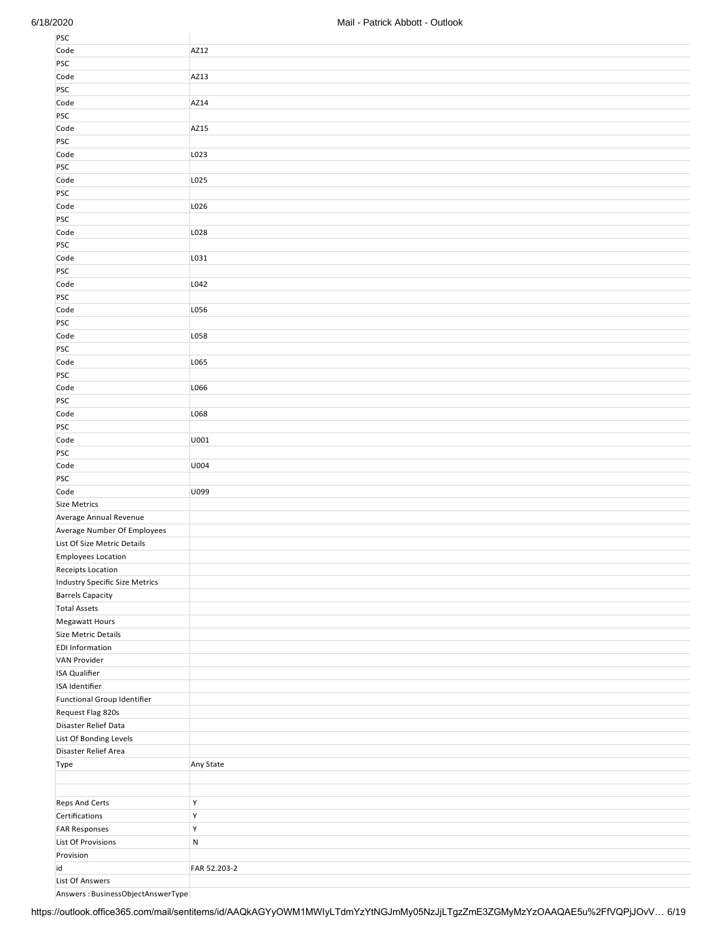| PSC                            |              |
|--------------------------------|--------------|
| Code                           | AZ12         |
| PSC                            |              |
| Code                           | AZ13         |
| PSC                            |              |
| Code                           | AZ14         |
| <b>PSC</b>                     |              |
| Code                           | AZ15         |
| PSC                            |              |
| Code                           | L023         |
| PSC                            |              |
|                                |              |
| Code                           | L025         |
| PSC                            |              |
| Code                           | L026         |
| PSC                            |              |
| Code                           | L028         |
| PSC                            |              |
| Code                           | L031         |
| PSC                            |              |
| Code                           | L042         |
| PSC                            |              |
| Code                           | L056         |
| PSC                            |              |
| Code                           | L058         |
| PSC                            |              |
| Code                           | L065         |
| PSC                            |              |
| Code                           | L066         |
| PSC                            |              |
| Code                           | L068         |
| PSC                            |              |
| Code                           | U001         |
| PSC                            |              |
| Code                           | U004         |
| PSC                            |              |
| Code                           | U099         |
| Size Metrics                   |              |
| Average Annual Revenue         |              |
| Average Number Of Employees    |              |
| List Of Size Metric Details    |              |
| <b>Employees Location</b>      |              |
| Receipts Location              |              |
| Industry Specific Size Metrics |              |
| <b>Barrels Capacity</b>        |              |
| <b>Total Assets</b>            |              |
| Megawatt Hours                 |              |
| Size Metric Details            |              |
| <b>EDI Information</b>         |              |
| VAN Provider                   |              |
| <b>ISA Qualifier</b>           |              |
| ISA Identifier                 |              |
| Functional Group Identifier    |              |
| Request Flag 820s              |              |
| Disaster Relief Data           |              |
| List Of Bonding Levels         |              |
| Disaster Relief Area           |              |
| Type                           | Any State    |
|                                |              |
|                                |              |
| Reps And Certs                 | Υ            |
| Certifications                 | Υ            |
| <b>FAR Responses</b>           | Υ            |
| List Of Provisions             | ${\sf N}$    |
| Provision                      |              |
| id                             | FAR 52.203-2 |
| List Of Answers                |              |

Answers : BusinessObjectAnswerType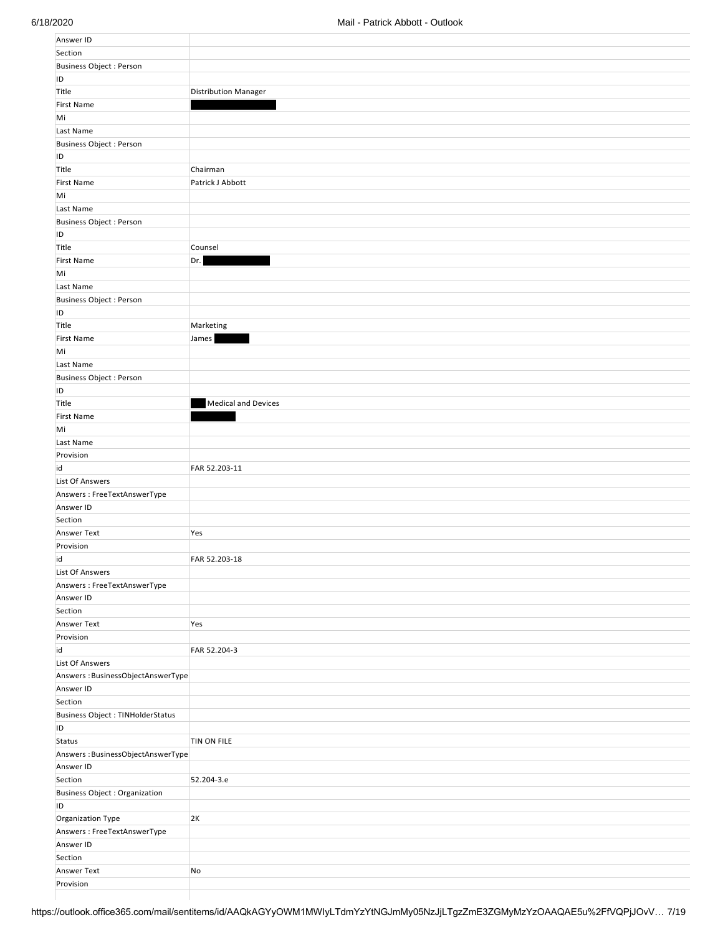| Answer ID                            |                             |
|--------------------------------------|-----------------------------|
| Section                              |                             |
| Business Object : Person             |                             |
| ID                                   |                             |
| Title                                | <b>Distribution Manager</b> |
| <b>First Name</b>                    |                             |
| Mi                                   |                             |
| Last Name                            |                             |
| Business Object : Person             |                             |
| ID                                   |                             |
| Title                                | Chairman                    |
| <b>First Name</b>                    | Patrick J Abbott            |
| Mi                                   |                             |
|                                      |                             |
| Last Name                            |                             |
| Business Object : Person<br>ID       |                             |
|                                      |                             |
| Title                                | Counsel                     |
| <b>First Name</b>                    | Dr.                         |
| Mi                                   |                             |
| Last Name                            |                             |
| Business Object : Person             |                             |
| ID                                   |                             |
| Title                                | Marketing                   |
| <b>First Name</b>                    | James                       |
| Mi                                   |                             |
| Last Name                            |                             |
| Business Object : Person             |                             |
| ID                                   |                             |
| Title                                | <b>Medical and Devices</b>  |
| <b>First Name</b>                    |                             |
| Mi                                   |                             |
| Last Name                            |                             |
| Provision                            |                             |
| id                                   | FAR 52.203-11               |
| List Of Answers                      |                             |
| Answers: FreeTextAnswerType          |                             |
| Answer ID                            |                             |
| Section                              |                             |
| Answer Text                          | Yes                         |
| Provision                            |                             |
| id                                   | FAR 52.203-18               |
| List Of Answers                      |                             |
| Answers: FreeTextAnswerType          |                             |
| Answer ID                            |                             |
| Section                              |                             |
| Answer Text                          |                             |
|                                      | Yes                         |
| Provision                            |                             |
| id                                   | FAR 52.204-3                |
| List Of Answers                      |                             |
| Answers: BusinessObjectAnswerType    |                             |
| Answer ID                            |                             |
| Section                              |                             |
| Business Object : TINHolderStatus    |                             |
| ID                                   |                             |
| Status                               | TIN ON FILE                 |
| Answers: BusinessObjectAnswerType    |                             |
| Answer ID                            |                             |
| Section                              | 52.204-3.e                  |
| <b>Business Object: Organization</b> |                             |
| ID                                   |                             |
| Organization Type                    | 2K                          |
| Answers: FreeTextAnswerType          |                             |
| Answer ID                            |                             |
| Section                              |                             |
| Answer Text                          | No                          |
| Provision                            |                             |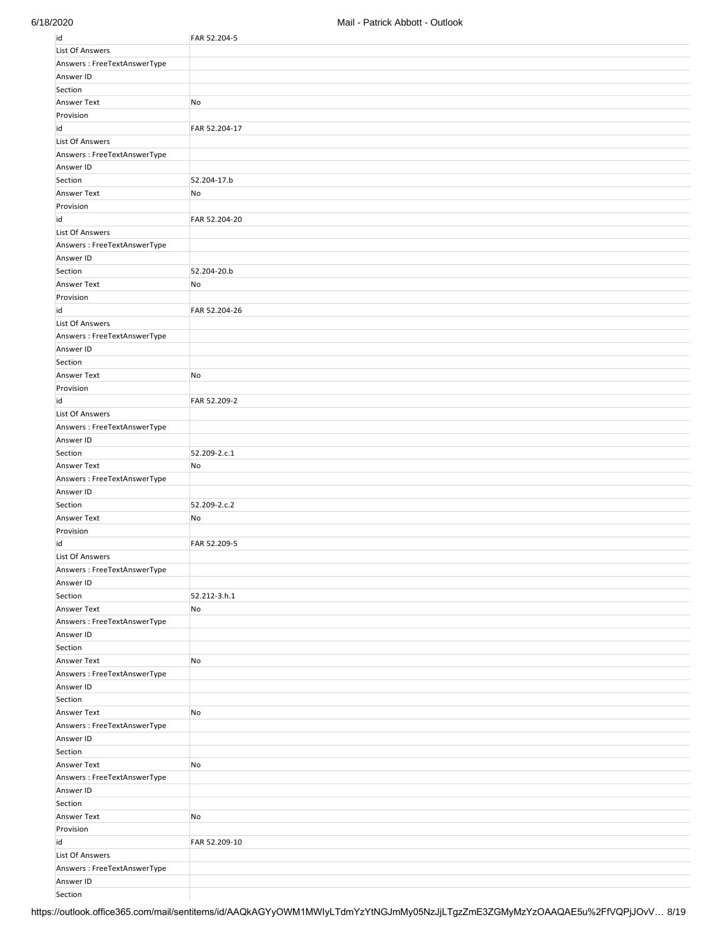| id                          | FAR 52.204-5  |
|-----------------------------|---------------|
| <b>List Of Answers</b>      |               |
| Answers: FreeTextAnswerType |               |
| Answer ID                   |               |
| Section                     |               |
| <b>Answer Text</b>          | No            |
| Provision                   |               |
| id                          | FAR 52.204-17 |
| <b>List Of Answers</b>      |               |
| Answers: FreeTextAnswerType |               |
| Answer ID                   |               |
| Section                     | 52.204-17.b   |
| Answer Text                 | No            |
| Provision                   |               |
| id                          | FAR 52.204-20 |
| <b>List Of Answers</b>      |               |
| Answers: FreeTextAnswerType |               |
| Answer ID                   |               |
|                             |               |
| Section                     | 52.204-20.b   |
| Answer Text                 | No            |
| Provision                   |               |
| id                          | FAR 52.204-26 |
| List Of Answers             |               |
| Answers: FreeTextAnswerType |               |
| Answer ID                   |               |
| Section                     |               |
| Answer Text                 | No            |
| Provision                   |               |
| id                          | FAR 52.209-2  |
| <b>List Of Answers</b>      |               |
| Answers: FreeTextAnswerType |               |
| Answer ID                   |               |
| Section                     | 52.209-2.c.1  |
| Answer Text                 | No            |
| Answers: FreeTextAnswerType |               |
| Answer ID                   |               |
| Section                     | 52.209-2.c.2  |
| Answer Text                 | No            |
| Provision                   |               |
| id                          | FAR 52.209-5  |
| <b>List Of Answers</b>      |               |
| Answers: FreeTextAnswerType |               |
| Answer ID                   |               |
| Section                     | 52.212-3.h.1  |
| <b>Answer Text</b>          | No            |
| Answers: FreeTextAnswerType |               |
| Answer ID                   |               |
| Section                     |               |
| Answer Text                 | No            |
| Answers: FreeTextAnswerType |               |
| Answer ID                   |               |
| Section                     |               |
| Answer Text                 | No            |
| Answers: FreeTextAnswerType |               |
| Answer ID                   |               |
| Section                     |               |
| <b>Answer Text</b>          | No            |
| Answers: FreeTextAnswerType |               |
| Answer ID                   |               |
| Section                     |               |
| Answer Text                 | No            |
| Provision                   |               |
| id                          | FAR 52.209-10 |
| <b>List Of Answers</b>      |               |
| Answers: FreeTextAnswerType |               |
| Answer ID                   |               |
| Section                     |               |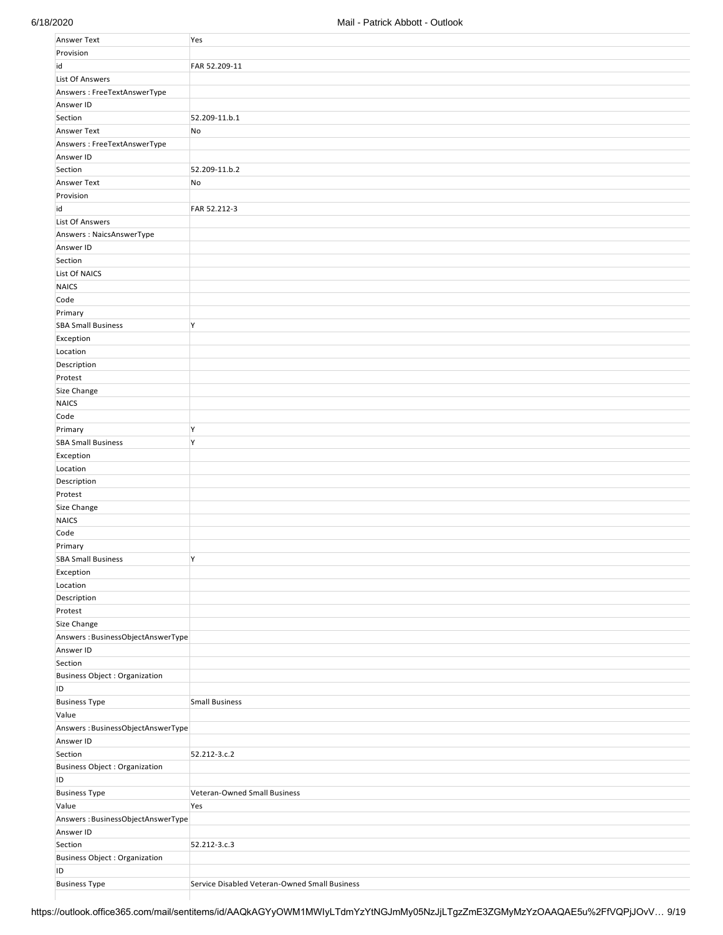| Answer Text                          | Yes                                           |
|--------------------------------------|-----------------------------------------------|
| Provision                            |                                               |
| id                                   | FAR 52.209-11                                 |
| <b>List Of Answers</b>               |                                               |
| Answers: FreeTextAnswerType          |                                               |
| Answer ID                            |                                               |
|                                      |                                               |
| Section                              | 52.209-11.b.1                                 |
| Answer Text                          | No                                            |
| Answers: FreeTextAnswerType          |                                               |
| Answer ID                            |                                               |
| Section                              | 52.209-11.b.2                                 |
| Answer Text                          | No                                            |
| Provision                            |                                               |
| id                                   | FAR 52.212-3                                  |
| <b>List Of Answers</b>               |                                               |
| Answers: NaicsAnswerType             |                                               |
| Answer ID                            |                                               |
| Section                              |                                               |
| List Of NAICS                        |                                               |
|                                      |                                               |
| <b>NAICS</b>                         |                                               |
| Code                                 |                                               |
| Primary                              |                                               |
| <b>SBA Small Business</b>            | Y                                             |
| Exception                            |                                               |
| Location                             |                                               |
| Description                          |                                               |
| Protest                              |                                               |
| Size Change                          |                                               |
| <b>NAICS</b>                         |                                               |
| Code                                 |                                               |
| Primary                              | Y                                             |
| <b>SBA Small Business</b>            | Y                                             |
|                                      |                                               |
| Exception                            |                                               |
| Location                             |                                               |
| Description                          |                                               |
| Protest                              |                                               |
| Size Change                          |                                               |
| <b>NAICS</b>                         |                                               |
| Code                                 |                                               |
| Primary                              |                                               |
| <b>SBA Small Business</b>            | Y                                             |
| Exception                            |                                               |
| Location                             |                                               |
| Description                          |                                               |
| Protest                              |                                               |
| Size Change                          |                                               |
|                                      |                                               |
| Answers: BusinessObjectAnswerType    |                                               |
| Answer ID                            |                                               |
| Section                              |                                               |
| <b>Business Object: Organization</b> |                                               |
| ID                                   |                                               |
| <b>Business Type</b>                 | <b>Small Business</b>                         |
| Value                                |                                               |
| Answers: BusinessObjectAnswerType    |                                               |
| Answer ID                            |                                               |
| Section                              | 52.212-3.c.2                                  |
| <b>Business Object: Organization</b> |                                               |
| ID                                   |                                               |
| <b>Business Type</b>                 | Veteran-Owned Small Business                  |
| Value                                | Yes                                           |
| Answers: BusinessObjectAnswerType    |                                               |
| Answer ID                            |                                               |
|                                      |                                               |
| Section                              | 52.212-3.c.3                                  |
| <b>Business Object: Organization</b> |                                               |
| ID                                   |                                               |
| <b>Business Type</b>                 | Service Disabled Veteran-Owned Small Business |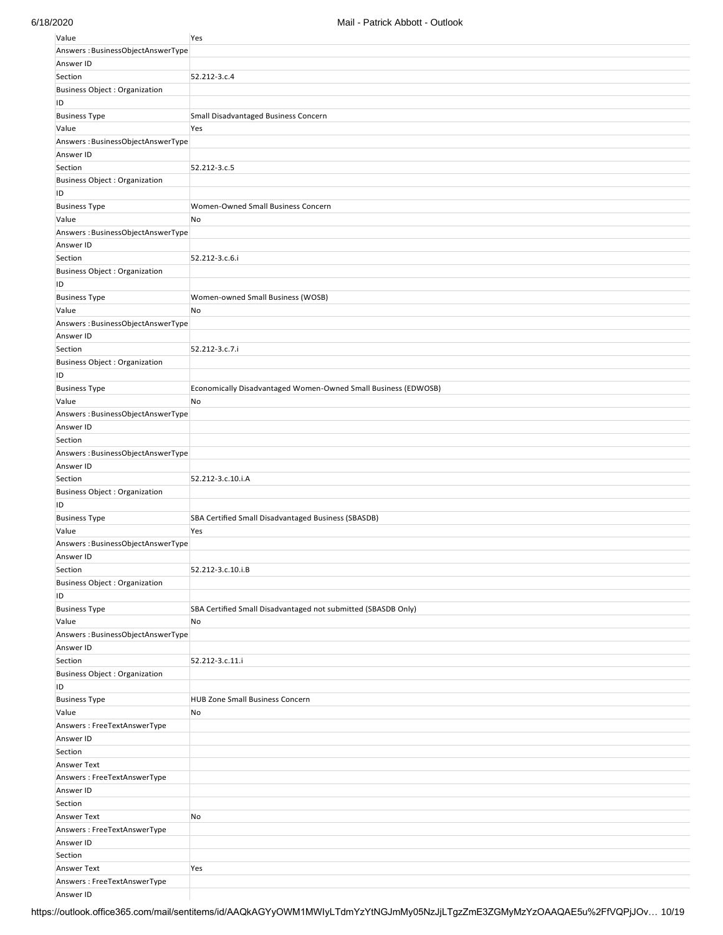| Value                                | Yes                                                            |
|--------------------------------------|----------------------------------------------------------------|
| Answers: BusinessObjectAnswerType    |                                                                |
| Answer ID                            |                                                                |
| Section                              | 52.212-3.c.4                                                   |
| <b>Business Object: Organization</b> |                                                                |
| ID                                   |                                                                |
| <b>Business Type</b>                 | Small Disadvantaged Business Concern                           |
| Value                                | Yes                                                            |
| Answers: BusinessObjectAnswerType    |                                                                |
| Answer ID                            |                                                                |
|                                      |                                                                |
| Section                              | 52.212-3.c.5                                                   |
| <b>Business Object: Organization</b> |                                                                |
| ID                                   |                                                                |
| <b>Business Type</b>                 | Women-Owned Small Business Concern                             |
| Value                                | No                                                             |
| Answers: BusinessObjectAnswerType    |                                                                |
| Answer ID                            |                                                                |
| Section                              | 52.212-3.c.6.i                                                 |
| <b>Business Object: Organization</b> |                                                                |
| ID                                   |                                                                |
| <b>Business Type</b>                 | Women-owned Small Business (WOSB)                              |
| Value                                | No                                                             |
| Answers: BusinessObjectAnswerType    |                                                                |
| Answer ID                            |                                                                |
| Section                              | 52.212-3.c.7.i                                                 |
| <b>Business Object: Organization</b> |                                                                |
| ID                                   |                                                                |
|                                      |                                                                |
| <b>Business Type</b>                 | Economically Disadvantaged Women-Owned Small Business (EDWOSB) |
| Value                                | No                                                             |
| Answers: BusinessObjectAnswerType    |                                                                |
| Answer ID                            |                                                                |
| Section                              |                                                                |
| Answers: BusinessObjectAnswerType    |                                                                |
| Answer ID                            |                                                                |
| Section                              | 52.212-3.c.10.i.A                                              |
| <b>Business Object: Organization</b> |                                                                |
| ID                                   |                                                                |
| <b>Business Type</b>                 | SBA Certified Small Disadvantaged Business (SBASDB)            |
| Value                                | Yes                                                            |
| Answers: BusinessObjectAnswerType    |                                                                |
| Answer ID                            |                                                                |
| Section                              | 52.212-3.c.10.i.B                                              |
| <b>Business Object: Organization</b> |                                                                |
| ID                                   |                                                                |
| <b>Business Type</b>                 | SBA Certified Small Disadvantaged not submitted (SBASDB Only)  |
|                                      |                                                                |
| Value                                | No                                                             |
| Answers: BusinessObjectAnswerType    |                                                                |
| Answer ID                            |                                                                |
| Section                              | 52.212-3.c.11.i                                                |
| <b>Business Object: Organization</b> |                                                                |
| ID                                   |                                                                |
| <b>Business Type</b>                 | <b>HUB Zone Small Business Concern</b>                         |
| Value                                | No                                                             |
| Answers: FreeTextAnswerType          |                                                                |
| Answer ID                            |                                                                |
| Section                              |                                                                |
| <b>Answer Text</b>                   |                                                                |
| Answers: FreeTextAnswerType          |                                                                |
| Answer ID                            |                                                                |
| Section                              |                                                                |
| <b>Answer Text</b>                   | No                                                             |
| Answers: FreeTextAnswerType          |                                                                |
| Answer ID                            |                                                                |
| Section                              |                                                                |
| <b>Answer Text</b>                   | Yes                                                            |
| Answers: FreeTextAnswerType          |                                                                |
| Answer ID                            |                                                                |
|                                      |                                                                |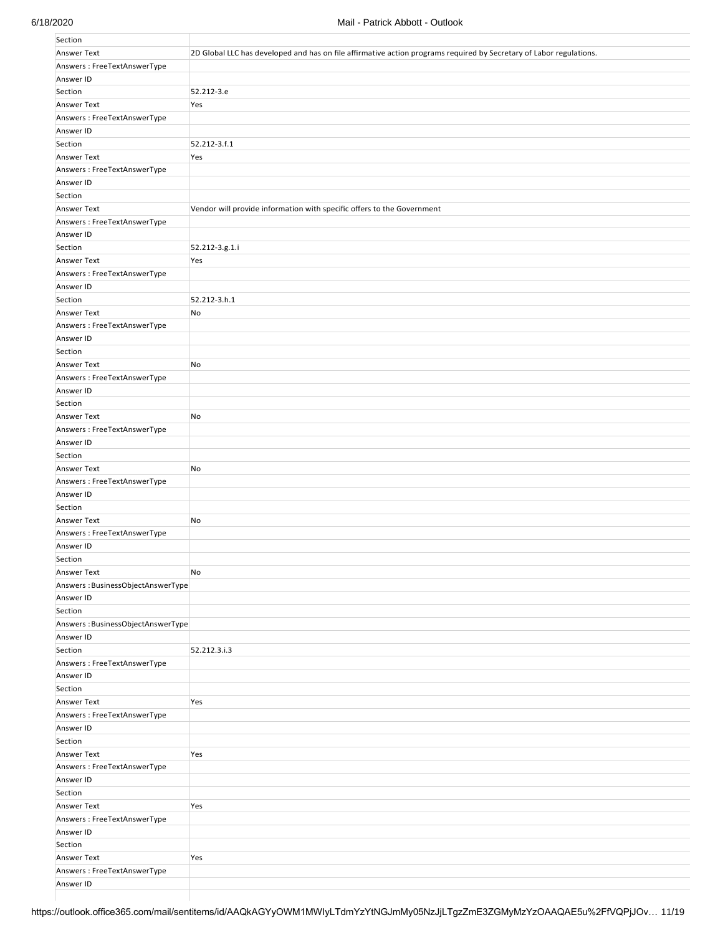| Section                           |                                                                                                                     |
|-----------------------------------|---------------------------------------------------------------------------------------------------------------------|
| <b>Answer Text</b>                | 2D Global LLC has developed and has on file affirmative action programs required by Secretary of Labor regulations. |
| Answers: FreeTextAnswerType       |                                                                                                                     |
| Answer ID                         |                                                                                                                     |
| Section                           | 52.212-3.e                                                                                                          |
| <b>Answer Text</b>                | Yes                                                                                                                 |
| Answers: FreeTextAnswerType       |                                                                                                                     |
| Answer ID                         |                                                                                                                     |
| Section                           | 52.212-3.f.1                                                                                                        |
| Answer Text                       | Yes                                                                                                                 |
| Answers: FreeTextAnswerType       |                                                                                                                     |
| Answer ID                         |                                                                                                                     |
|                                   |                                                                                                                     |
| Section                           |                                                                                                                     |
| Answer Text                       | Vendor will provide information with specific offers to the Government                                              |
| Answers: FreeTextAnswerType       |                                                                                                                     |
| Answer ID                         |                                                                                                                     |
| Section                           | 52.212-3.g.1.i                                                                                                      |
| <b>Answer Text</b>                | Yes                                                                                                                 |
| Answers: FreeTextAnswerType       |                                                                                                                     |
| Answer ID                         |                                                                                                                     |
| Section                           | 52.212-3.h.1                                                                                                        |
| <b>Answer Text</b>                | No                                                                                                                  |
| Answers: FreeTextAnswerType       |                                                                                                                     |
| Answer ID                         |                                                                                                                     |
| Section                           |                                                                                                                     |
| Answer Text                       | No                                                                                                                  |
| Answers: FreeTextAnswerType       |                                                                                                                     |
| Answer ID                         |                                                                                                                     |
| Section                           |                                                                                                                     |
| <b>Answer Text</b>                | No                                                                                                                  |
| Answers: FreeTextAnswerType       |                                                                                                                     |
| Answer ID                         |                                                                                                                     |
| Section                           |                                                                                                                     |
| <b>Answer Text</b>                | No                                                                                                                  |
| Answers: FreeTextAnswerType       |                                                                                                                     |
| Answer ID                         |                                                                                                                     |
| Section                           |                                                                                                                     |
| Answer Text                       | No                                                                                                                  |
| Answers: FreeTextAnswerType       |                                                                                                                     |
| Answer ID                         |                                                                                                                     |
| Section                           |                                                                                                                     |
| Answer Text                       | No                                                                                                                  |
| Answers: BusinessObjectAnswerType |                                                                                                                     |
| Answer ID                         |                                                                                                                     |
| Section                           |                                                                                                                     |
| Answers: BusinessObjectAnswerType |                                                                                                                     |
| Answer ID                         |                                                                                                                     |
| Section                           | 52.212.3.i.3                                                                                                        |
| Answers: FreeTextAnswerType       |                                                                                                                     |
| Answer ID                         |                                                                                                                     |
| Section                           |                                                                                                                     |
| Answer Text                       | Yes                                                                                                                 |
| Answers: FreeTextAnswerType       |                                                                                                                     |
| Answer ID                         |                                                                                                                     |
| Section                           |                                                                                                                     |
| Answer Text                       | Yes                                                                                                                 |
| Answers: FreeTextAnswerType       |                                                                                                                     |
| Answer ID                         |                                                                                                                     |
| Section                           |                                                                                                                     |
| Answer Text                       | Yes                                                                                                                 |
| Answers: FreeTextAnswerType       |                                                                                                                     |
| Answer ID                         |                                                                                                                     |
| Section                           |                                                                                                                     |
| Answer Text                       | Yes                                                                                                                 |
| Answers: FreeTextAnswerType       |                                                                                                                     |
| Answer ID                         |                                                                                                                     |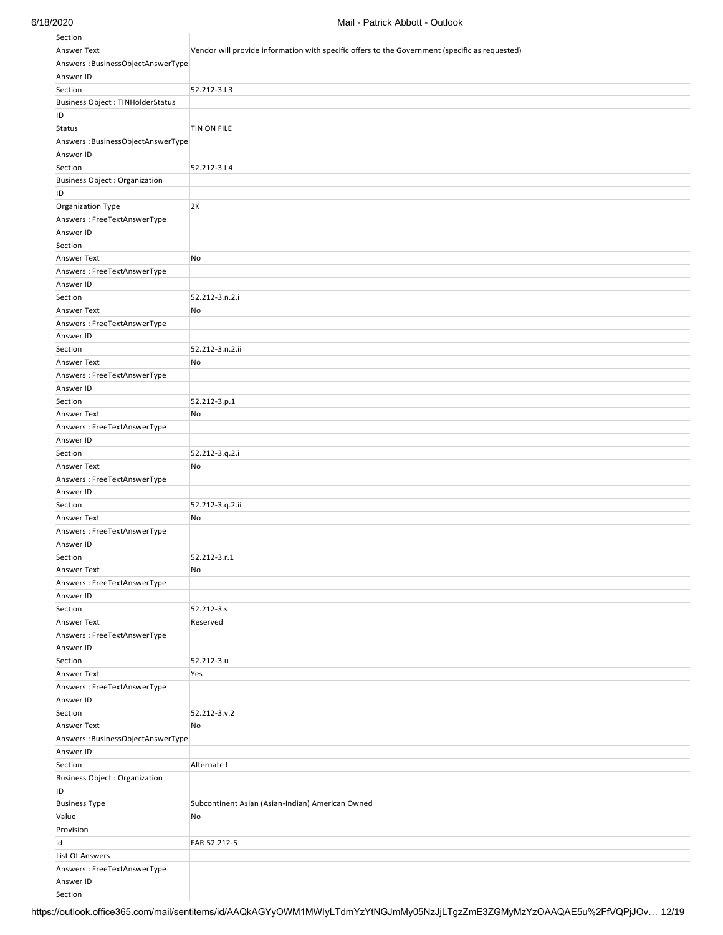| Section                                  |                                                                                                |
|------------------------------------------|------------------------------------------------------------------------------------------------|
| Answer Text                              | Vendor will provide information with specific offers to the Government (specific as requested) |
| Answers: BusinessObjectAnswerType        |                                                                                                |
| Answer ID                                |                                                                                                |
| Section                                  | 52.212-3.1.3                                                                                   |
| Business Object : TINHolderStatus        |                                                                                                |
| ID                                       |                                                                                                |
| <b>Status</b>                            | TIN ON FILE                                                                                    |
| Answers: BusinessObjectAnswerType        |                                                                                                |
| Answer ID                                |                                                                                                |
| Section                                  | 52.212-3.1.4                                                                                   |
| <b>Business Object: Organization</b>     |                                                                                                |
| ID                                       |                                                                                                |
| Organization Type                        | 2K                                                                                             |
| Answers: FreeTextAnswerType              |                                                                                                |
| Answer ID                                |                                                                                                |
| Section                                  |                                                                                                |
| <b>Answer Text</b>                       | No                                                                                             |
| Answers: FreeTextAnswerType              |                                                                                                |
| Answer ID                                |                                                                                                |
| Section                                  | 52.212-3.n.2.i                                                                                 |
| <b>Answer Text</b>                       | No                                                                                             |
| Answers: FreeTextAnswerType              |                                                                                                |
| Answer ID                                |                                                                                                |
| Section                                  | 52.212-3.n.2.ii                                                                                |
| <b>Answer Text</b>                       | No                                                                                             |
| Answers: FreeTextAnswerType              |                                                                                                |
| Answer ID                                |                                                                                                |
| Section                                  | 52.212-3.p.1                                                                                   |
| <b>Answer Text</b>                       | No                                                                                             |
| Answers: FreeTextAnswerType              |                                                                                                |
| Answer ID                                |                                                                                                |
| Section                                  | 52.212-3.q.2.i                                                                                 |
| <b>Answer Text</b>                       | No                                                                                             |
| Answers: FreeTextAnswerType              |                                                                                                |
| Answer ID                                |                                                                                                |
| Section                                  | 52.212-3.q.2.ii                                                                                |
| <b>Answer Text</b>                       | No                                                                                             |
| Answers: FreeTextAnswerType              |                                                                                                |
| Answer ID                                |                                                                                                |
| Section                                  | 52.212-3.r.1                                                                                   |
| <b>Answer Text</b>                       | No                                                                                             |
| Answers: FreeTextAnswerType              |                                                                                                |
| Answer ID                                |                                                                                                |
| Section                                  | 52.212-3.s                                                                                     |
| <b>Answer Text</b>                       | Reserved                                                                                       |
| Answers: FreeTextAnswerType              |                                                                                                |
| Answer ID                                |                                                                                                |
| Section                                  | 52.212-3.u                                                                                     |
| <b>Answer Text</b>                       | Yes                                                                                            |
| Answers: FreeTextAnswerType<br>Answer ID |                                                                                                |
| Section                                  | 52.212-3.v.2                                                                                   |
| <b>Answer Text</b>                       | No                                                                                             |
| Answers: BusinessObjectAnswerType        |                                                                                                |
| Answer ID                                |                                                                                                |
| Section                                  | Alternate I                                                                                    |
| <b>Business Object: Organization</b>     |                                                                                                |
| ID                                       |                                                                                                |
| <b>Business Type</b>                     | Subcontinent Asian (Asian-Indian) American Owned                                               |
| Value                                    | No                                                                                             |
| Provision                                |                                                                                                |
| id                                       | FAR 52.212-5                                                                                   |
| List Of Answers                          |                                                                                                |
| Answers: FreeTextAnswerType              |                                                                                                |
| Answer ID                                |                                                                                                |
| Section                                  |                                                                                                |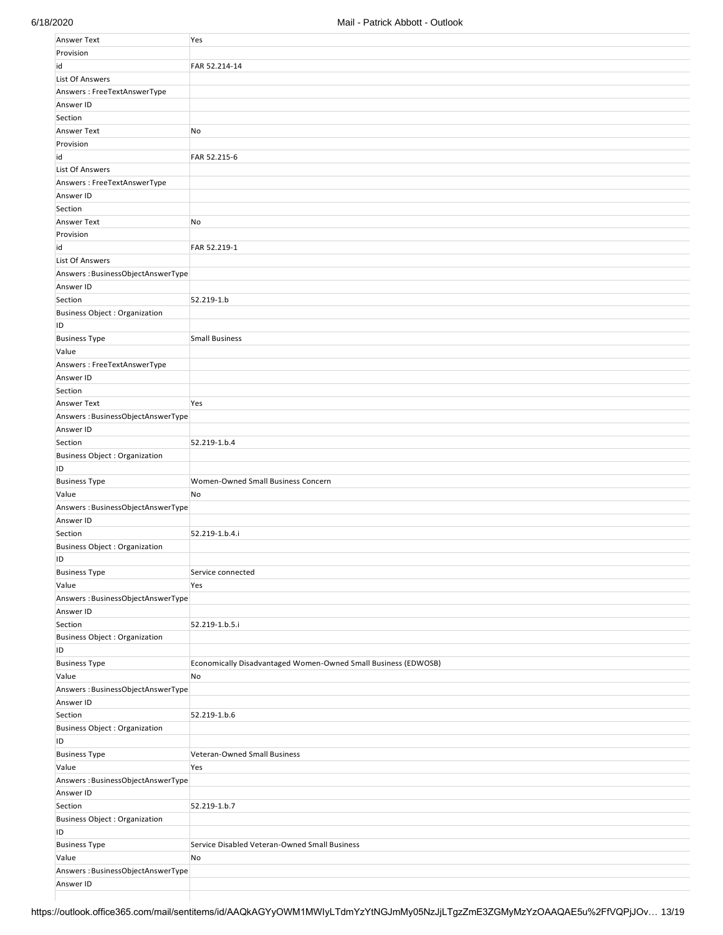| Answer Text                       | Yes                                                            |
|-----------------------------------|----------------------------------------------------------------|
| Provision                         |                                                                |
| id                                | FAR 52.214-14                                                  |
| List Of Answers                   |                                                                |
| Answers: FreeTextAnswerType       |                                                                |
| Answer ID                         |                                                                |
| Section                           |                                                                |
| Answer Text                       | No                                                             |
| Provision                         |                                                                |
| id                                | FAR 52.215-6                                                   |
| <b>List Of Answers</b>            |                                                                |
| Answers: FreeTextAnswerType       |                                                                |
| Answer ID                         |                                                                |
| Section                           |                                                                |
| Answer Text                       | No                                                             |
| Provision                         |                                                                |
| id                                | FAR 52.219-1                                                   |
| <b>List Of Answers</b>            |                                                                |
| Answers: BusinessObjectAnswerType |                                                                |
| Answer ID                         |                                                                |
| Section                           | 52.219-1.b                                                     |
| Business Object : Organization    |                                                                |
| ID                                |                                                                |
| <b>Business Type</b>              | <b>Small Business</b>                                          |
| Value                             |                                                                |
| Answers: FreeTextAnswerType       |                                                                |
| Answer ID                         |                                                                |
| Section                           |                                                                |
| Answer Text                       | Yes                                                            |
| Answers: BusinessObjectAnswerType |                                                                |
| Answer ID                         |                                                                |
|                                   |                                                                |
| Section                           | 52.219-1.b.4                                                   |
| Business Object : Organization    |                                                                |
| ID                                |                                                                |
| <b>Business Type</b>              | Women-Owned Small Business Concern                             |
| Value                             | No                                                             |
| Answers: BusinessObjectAnswerType |                                                                |
| Answer ID                         |                                                                |
| Section                           | 52.219-1.b.4.i                                                 |
| Business Object : Organization    |                                                                |
| ID                                |                                                                |
| <b>Business Type</b>              | Service connected                                              |
| Value                             | Yes                                                            |
| Answers: BusinessObjectAnswerType |                                                                |
| Answer ID                         |                                                                |
| Section                           | 52.219-1.b.5.i                                                 |
| Business Object : Organization    |                                                                |
| ID                                |                                                                |
| <b>Business Type</b>              | Economically Disadvantaged Women-Owned Small Business (EDWOSB) |
| Value                             | No                                                             |
| Answers: BusinessObjectAnswerType |                                                                |
| Answer ID                         |                                                                |
| Section                           | 52.219-1.b.6                                                   |
| Business Object : Organization    |                                                                |
| ID                                |                                                                |
| <b>Business Type</b>              | Veteran-Owned Small Business                                   |
| Value                             | Yes                                                            |
| Answers: BusinessObjectAnswerType |                                                                |
| Answer ID                         |                                                                |
| Section                           | 52.219-1.b.7                                                   |
| Business Object : Organization    |                                                                |
| ID                                |                                                                |
| <b>Business Type</b>              | Service Disabled Veteran-Owned Small Business                  |
| Value                             | No                                                             |
| Answers: BusinessObjectAnswerType |                                                                |
| Answer ID                         |                                                                |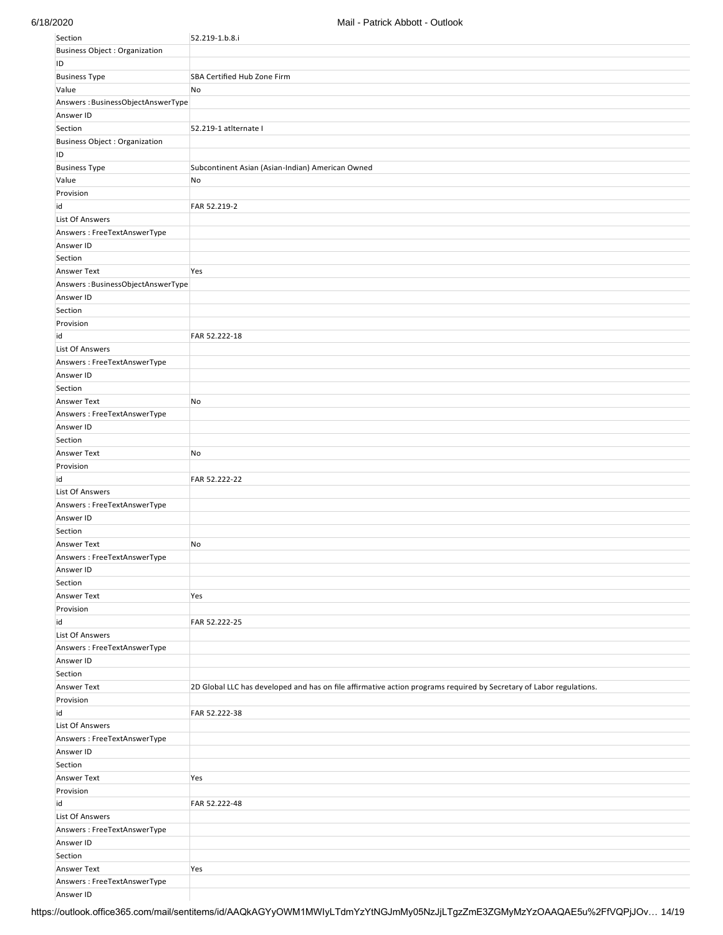| Section                              | 52.219-1.b.8.i                                                                                                      |
|--------------------------------------|---------------------------------------------------------------------------------------------------------------------|
| <b>Business Object: Organization</b> |                                                                                                                     |
| ID                                   |                                                                                                                     |
| <b>Business Type</b>                 | SBA Certified Hub Zone Firm                                                                                         |
| Value                                | No                                                                                                                  |
|                                      |                                                                                                                     |
| Answers: BusinessObjectAnswerType    |                                                                                                                     |
| Answer ID                            |                                                                                                                     |
| Section                              | 52.219-1 atlternate I                                                                                               |
| <b>Business Object: Organization</b> |                                                                                                                     |
| ID                                   |                                                                                                                     |
| <b>Business Type</b>                 | Subcontinent Asian (Asian-Indian) American Owned                                                                    |
| Value                                | No                                                                                                                  |
| Provision                            |                                                                                                                     |
| id                                   | FAR 52.219-2                                                                                                        |
| <b>List Of Answers</b>               |                                                                                                                     |
|                                      |                                                                                                                     |
| Answers: FreeTextAnswerType          |                                                                                                                     |
| Answer ID                            |                                                                                                                     |
| Section                              |                                                                                                                     |
| Answer Text                          | Yes                                                                                                                 |
| Answers: BusinessObjectAnswerType    |                                                                                                                     |
| Answer ID                            |                                                                                                                     |
| Section                              |                                                                                                                     |
| Provision                            |                                                                                                                     |
| id                                   | FAR 52.222-18                                                                                                       |
| <b>List Of Answers</b>               |                                                                                                                     |
| Answers: FreeTextAnswerType          |                                                                                                                     |
|                                      |                                                                                                                     |
| Answer ID                            |                                                                                                                     |
| Section                              |                                                                                                                     |
| Answer Text                          | No                                                                                                                  |
| Answers: FreeTextAnswerType          |                                                                                                                     |
| Answer ID                            |                                                                                                                     |
| Section                              |                                                                                                                     |
| <b>Answer Text</b>                   | No                                                                                                                  |
| Provision                            |                                                                                                                     |
| id                                   | FAR 52.222-22                                                                                                       |
| List Of Answers                      |                                                                                                                     |
| Answers: FreeTextAnswerType          |                                                                                                                     |
|                                      |                                                                                                                     |
| Answer ID                            |                                                                                                                     |
| Section                              |                                                                                                                     |
| Answer Text                          | No                                                                                                                  |
| Answers: FreeTextAnswerType          |                                                                                                                     |
| Answer ID                            |                                                                                                                     |
| Section                              |                                                                                                                     |
| Answer Text                          | Yes                                                                                                                 |
| Provision                            |                                                                                                                     |
| id                                   | FAR 52.222-25                                                                                                       |
| <b>List Of Answers</b>               |                                                                                                                     |
|                                      |                                                                                                                     |
| Answers: FreeTextAnswerType          |                                                                                                                     |
| Answer ID                            |                                                                                                                     |
| Section                              |                                                                                                                     |
| Answer Text                          | 2D Global LLC has developed and has on file affirmative action programs required by Secretary of Labor regulations. |
| Provision                            |                                                                                                                     |
| id                                   | FAR 52.222-38                                                                                                       |
| List Of Answers                      |                                                                                                                     |
| Answers: FreeTextAnswerType          |                                                                                                                     |
| Answer ID                            |                                                                                                                     |
| Section                              |                                                                                                                     |
| Answer Text                          | Yes                                                                                                                 |
|                                      |                                                                                                                     |
| Provision                            |                                                                                                                     |
| id                                   | FAR 52.222-48                                                                                                       |
| <b>List Of Answers</b>               |                                                                                                                     |
| Answers: FreeTextAnswerType          |                                                                                                                     |
| Answer ID                            |                                                                                                                     |
| Section                              |                                                                                                                     |
| Answer Text                          | Yes                                                                                                                 |
| Answers: FreeTextAnswerType          |                                                                                                                     |
| Answer ID                            |                                                                                                                     |

https://outlook.office365.com/mail/sentitems/id/AAQkAGYyOWM1MWIyLTdmYzYtNGJmMy05NzJjLTgzZmE3ZGMyMzYzOAAQAE5u%2FfVQPjJOv… 14/19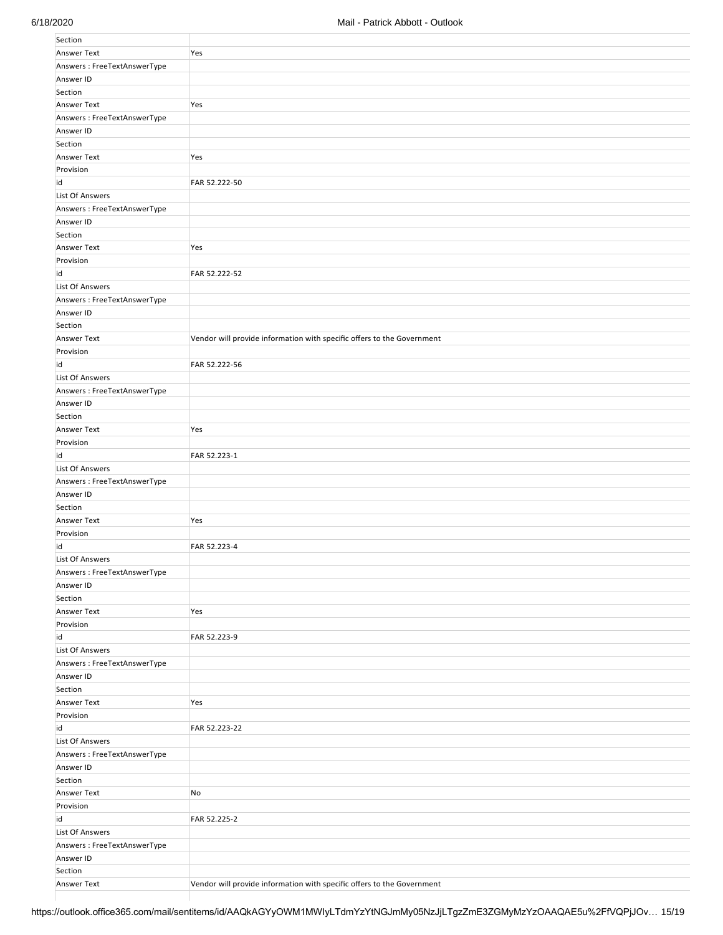| Section                     |                                                                        |
|-----------------------------|------------------------------------------------------------------------|
| <b>Answer Text</b>          | Yes                                                                    |
| Answers: FreeTextAnswerType |                                                                        |
| Answer ID                   |                                                                        |
| Section                     |                                                                        |
| Answer Text                 | Yes                                                                    |
| Answers: FreeTextAnswerType |                                                                        |
| Answer ID                   |                                                                        |
| Section                     |                                                                        |
| Answer Text                 | Yes                                                                    |
| Provision                   |                                                                        |
| id                          | FAR 52.222-50                                                          |
|                             |                                                                        |
| <b>List Of Answers</b>      |                                                                        |
| Answers: FreeTextAnswerType |                                                                        |
| Answer ID                   |                                                                        |
| Section                     |                                                                        |
| Answer Text                 | Yes                                                                    |
| Provision                   |                                                                        |
| id                          | FAR 52.222-52                                                          |
| List Of Answers             |                                                                        |
| Answers: FreeTextAnswerType |                                                                        |
| Answer ID                   |                                                                        |
| Section                     |                                                                        |
| Answer Text                 | Vendor will provide information with specific offers to the Government |
| Provision                   |                                                                        |
| id                          | FAR 52.222-56                                                          |
| List Of Answers             |                                                                        |
| Answers: FreeTextAnswerType |                                                                        |
| Answer ID                   |                                                                        |
| Section                     |                                                                        |
| Answer Text                 | Yes                                                                    |
| Provision                   |                                                                        |
| id                          | FAR 52.223-1                                                           |
| <b>List Of Answers</b>      |                                                                        |
| Answers: FreeTextAnswerType |                                                                        |
| Answer ID                   |                                                                        |
| Section                     |                                                                        |
| Answer Text                 | Yes                                                                    |
| Provision                   |                                                                        |
| id                          | FAR 52.223-4                                                           |
| <b>List Of Answers</b>      |                                                                        |
| Answers: FreeTextAnswerType |                                                                        |
| Answer ID                   |                                                                        |
| Section                     |                                                                        |
| Answer Text                 | Yes                                                                    |
| Provision                   |                                                                        |
| id                          | FAR 52.223-9                                                           |
| <b>List Of Answers</b>      |                                                                        |
| Answers: FreeTextAnswerType |                                                                        |
| Answer ID                   |                                                                        |
| Section                     |                                                                        |
| Answer Text                 | Yes                                                                    |
| Provision                   |                                                                        |
| id                          | FAR 52.223-22                                                          |
| <b>List Of Answers</b>      |                                                                        |
| Answers: FreeTextAnswerType |                                                                        |
| Answer ID                   |                                                                        |
| Section                     |                                                                        |
| Answer Text                 | No                                                                     |
| Provision                   |                                                                        |
| id                          | FAR 52.225-2                                                           |
| <b>List Of Answers</b>      |                                                                        |
| Answers: FreeTextAnswerType |                                                                        |
| Answer ID                   |                                                                        |
| Section                     |                                                                        |
|                             | Vendor will provide information with specific offers to the Government |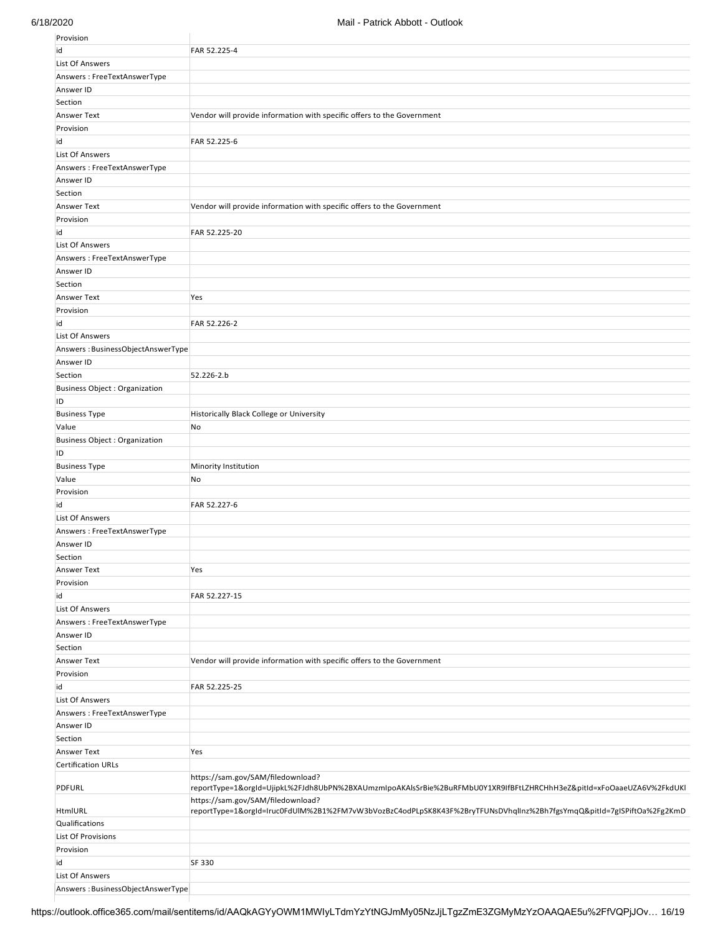| Provision                            |                                                                                                                                                           |
|--------------------------------------|-----------------------------------------------------------------------------------------------------------------------------------------------------------|
| id                                   | FAR 52.225-4                                                                                                                                              |
| <b>List Of Answers</b>               |                                                                                                                                                           |
| Answers: FreeTextAnswerType          |                                                                                                                                                           |
| Answer ID                            |                                                                                                                                                           |
| Section                              |                                                                                                                                                           |
| <b>Answer Text</b>                   | Vendor will provide information with specific offers to the Government                                                                                    |
|                                      |                                                                                                                                                           |
| Provision                            |                                                                                                                                                           |
| id                                   | FAR 52.225-6                                                                                                                                              |
| <b>List Of Answers</b>               |                                                                                                                                                           |
| Answers: FreeTextAnswerType          |                                                                                                                                                           |
| Answer ID                            |                                                                                                                                                           |
| Section                              |                                                                                                                                                           |
| <b>Answer Text</b>                   | Vendor will provide information with specific offers to the Government                                                                                    |
| Provision                            |                                                                                                                                                           |
| id                                   | FAR 52.225-20                                                                                                                                             |
| <b>List Of Answers</b>               |                                                                                                                                                           |
| Answers: FreeTextAnswerType          |                                                                                                                                                           |
| Answer ID                            |                                                                                                                                                           |
|                                      |                                                                                                                                                           |
| Section                              |                                                                                                                                                           |
| <b>Answer Text</b>                   | Yes                                                                                                                                                       |
| Provision                            |                                                                                                                                                           |
| id                                   | FAR 52.226-2                                                                                                                                              |
| List Of Answers                      |                                                                                                                                                           |
| Answers: BusinessObjectAnswerType    |                                                                                                                                                           |
| Answer ID                            |                                                                                                                                                           |
| Section                              | 52.226-2.b                                                                                                                                                |
| <b>Business Object: Organization</b> |                                                                                                                                                           |
| ID                                   |                                                                                                                                                           |
|                                      |                                                                                                                                                           |
| <b>Business Type</b>                 | Historically Black College or University                                                                                                                  |
| Value                                | No                                                                                                                                                        |
| <b>Business Object: Organization</b> |                                                                                                                                                           |
| ID                                   |                                                                                                                                                           |
| <b>Business Type</b>                 | Minority Institution                                                                                                                                      |
| Value                                | No                                                                                                                                                        |
| Provision                            |                                                                                                                                                           |
| id                                   | FAR 52.227-6                                                                                                                                              |
| List Of Answers                      |                                                                                                                                                           |
|                                      |                                                                                                                                                           |
| Answers: FreeTextAnswerType          |                                                                                                                                                           |
| Answer ID                            |                                                                                                                                                           |
| Section                              |                                                                                                                                                           |
| Answer Text                          | Yes                                                                                                                                                       |
| Provision                            |                                                                                                                                                           |
| id                                   | FAR 52.227-15                                                                                                                                             |
| <b>List Of Answers</b>               |                                                                                                                                                           |
| Answers: FreeTextAnswerType          |                                                                                                                                                           |
| Answer ID                            |                                                                                                                                                           |
| Section                              |                                                                                                                                                           |
|                                      |                                                                                                                                                           |
| <b>Answer Text</b>                   | Vendor will provide information with specific offers to the Government                                                                                    |
| Provision                            |                                                                                                                                                           |
| id                                   | FAR 52.225-25                                                                                                                                             |
| <b>List Of Answers</b>               |                                                                                                                                                           |
| Answers: FreeTextAnswerType          |                                                                                                                                                           |
| Answer ID                            |                                                                                                                                                           |
| Section                              |                                                                                                                                                           |
| <b>Answer Text</b>                   | Yes                                                                                                                                                       |
| <b>Certification URLs</b>            |                                                                                                                                                           |
| PDFURL                               | https://sam.gov/SAM/filedownload?<br>reportType=1&orgId=UjipkL%2FJdh8UbPN%2BXAUmzmIpoAKAlsSrBie%2BuRFMbU0Y1XR9IfBFtLZHRCHhH3eZ&pitId=xFoOaaeUZA6V%2FkdUKI |
|                                      | https://sam.gov/SAM/filedownload?                                                                                                                         |
| HtmIURL                              | reportType=1&orgId=Iruc0FdUlM%2B1%2FM7vW3bVozBzC4odPLpSK8K43F%2BryTFUNsDVhqlInz%2Bh7fgsYmqQ&pitId=7gISPiftOa%2Fg2KmD                                      |
| Qualifications                       |                                                                                                                                                           |
| List Of Provisions                   |                                                                                                                                                           |
| Provision                            |                                                                                                                                                           |
| id                                   | SF 330                                                                                                                                                    |
| <b>List Of Answers</b>               |                                                                                                                                                           |
|                                      |                                                                                                                                                           |
| Answers: BusinessObjectAnswerType    |                                                                                                                                                           |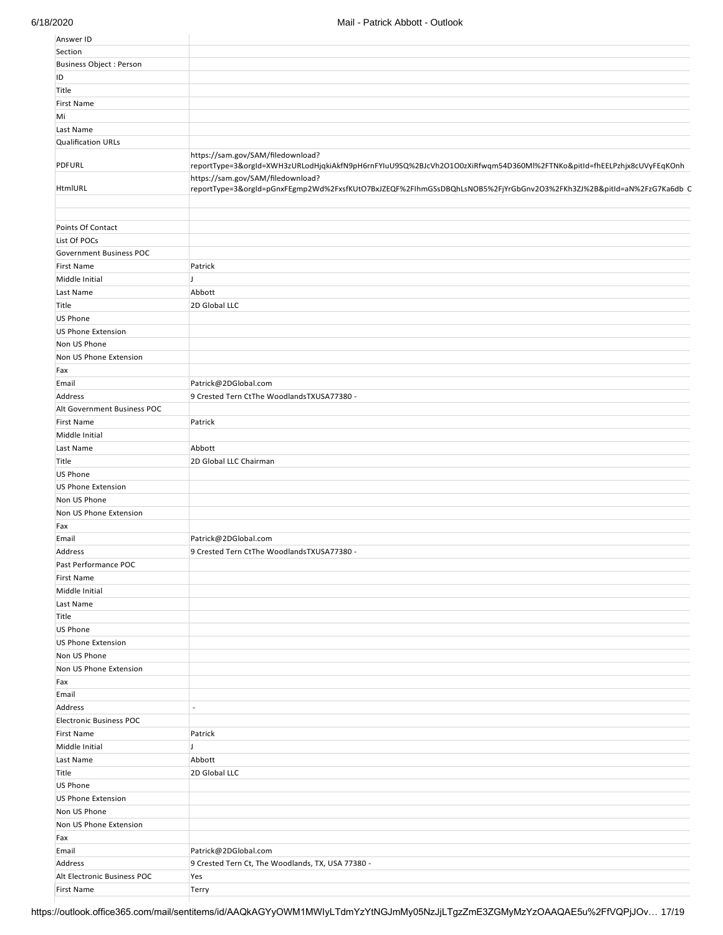| Answer ID                      |                                                                                                                                                          |
|--------------------------------|----------------------------------------------------------------------------------------------------------------------------------------------------------|
| Section                        |                                                                                                                                                          |
| <b>Business Object: Person</b> |                                                                                                                                                          |
| ID                             |                                                                                                                                                          |
| Title                          |                                                                                                                                                          |
| <b>First Name</b>              |                                                                                                                                                          |
| Mi                             |                                                                                                                                                          |
| Last Name                      |                                                                                                                                                          |
| <b>Qualification URLs</b>      |                                                                                                                                                          |
|                                | https://sam.gov/SAM/filedownload?                                                                                                                        |
| <b>PDFURL</b>                  | reportType=3&orgId=XWH3zURLodHjqkiAkfN9pH6rnFYIuU9SQ%2BJcVh2O1O0zXiRfwqm54D360Ml%2FTNKo&pitId=fhEELPzhjx8cUVyFEqKOnh                                     |
| HtmIURL                        | https://sam.gov/SAM/filedownload?<br>reportType=3&orgId=pGnxFEgmp2Wd%2FxsfKUtO7BxJZEQF%2FIhmGSsDBQhLsNOB5%2FjYrGbGnv2O3%2FKh3ZJ%2B&pitId=aN%2FzG7Ka6db C |
|                                |                                                                                                                                                          |
| Points Of Contact              |                                                                                                                                                          |
| List Of POCs                   |                                                                                                                                                          |
|                                |                                                                                                                                                          |
| Government Business POC        |                                                                                                                                                          |
| <b>First Name</b>              | Patrick                                                                                                                                                  |
| Middle Initial                 | IJ                                                                                                                                                       |
| Last Name                      | Abbott                                                                                                                                                   |
| Title                          | 2D Global LLC                                                                                                                                            |
| US Phone                       |                                                                                                                                                          |
| US Phone Extension             |                                                                                                                                                          |
| Non US Phone                   |                                                                                                                                                          |
| Non US Phone Extension         |                                                                                                                                                          |
| Fax                            |                                                                                                                                                          |
| Email                          | Patrick@2DGlobal.com                                                                                                                                     |
|                                |                                                                                                                                                          |
| Address                        | 9 Crested Tern CtThe WoodlandsTXUSA77380 -                                                                                                               |
| Alt Government Business POC    |                                                                                                                                                          |
| <b>First Name</b>              | Patrick                                                                                                                                                  |
| Middle Initial                 |                                                                                                                                                          |
| Last Name                      | Abbott                                                                                                                                                   |
| Title                          | 2D Global LLC Chairman                                                                                                                                   |
| US Phone                       |                                                                                                                                                          |
| US Phone Extension             |                                                                                                                                                          |
| Non US Phone                   |                                                                                                                                                          |
| Non US Phone Extension         |                                                                                                                                                          |
| Fax                            |                                                                                                                                                          |
|                                |                                                                                                                                                          |
| Email                          | Patrick@2DGlobal.com                                                                                                                                     |
| Address                        | 9 Crested Tern CtThe WoodlandsTXUSA77380 -                                                                                                               |
| Past Performance POC           |                                                                                                                                                          |
| <b>First Name</b>              |                                                                                                                                                          |
| Middle Initial                 |                                                                                                                                                          |
| Last Name                      |                                                                                                                                                          |
| Title                          |                                                                                                                                                          |
| US Phone                       |                                                                                                                                                          |
| <b>US Phone Extension</b>      |                                                                                                                                                          |
| Non US Phone                   |                                                                                                                                                          |
| Non US Phone Extension         |                                                                                                                                                          |
|                                |                                                                                                                                                          |
| Fax                            |                                                                                                                                                          |
| Email                          |                                                                                                                                                          |
| Address                        | $\overline{a}$                                                                                                                                           |
| <b>Electronic Business POC</b> |                                                                                                                                                          |
| <b>First Name</b>              | Patrick                                                                                                                                                  |
| Middle Initial                 | IJ                                                                                                                                                       |
| Last Name                      | Abbott                                                                                                                                                   |
| Title                          | 2D Global LLC                                                                                                                                            |
| US Phone                       |                                                                                                                                                          |
| <b>US Phone Extension</b>      |                                                                                                                                                          |
| Non US Phone                   |                                                                                                                                                          |
|                                |                                                                                                                                                          |
| Non US Phone Extension         |                                                                                                                                                          |
| Fax                            |                                                                                                                                                          |
| Email                          | Patrick@2DGlobal.com                                                                                                                                     |
| Address                        | 9 Crested Tern Ct, The Woodlands, TX, USA 77380 -                                                                                                        |
| Alt Electronic Business POC    | Yes                                                                                                                                                      |
| <b>First Name</b>              | Terry                                                                                                                                                    |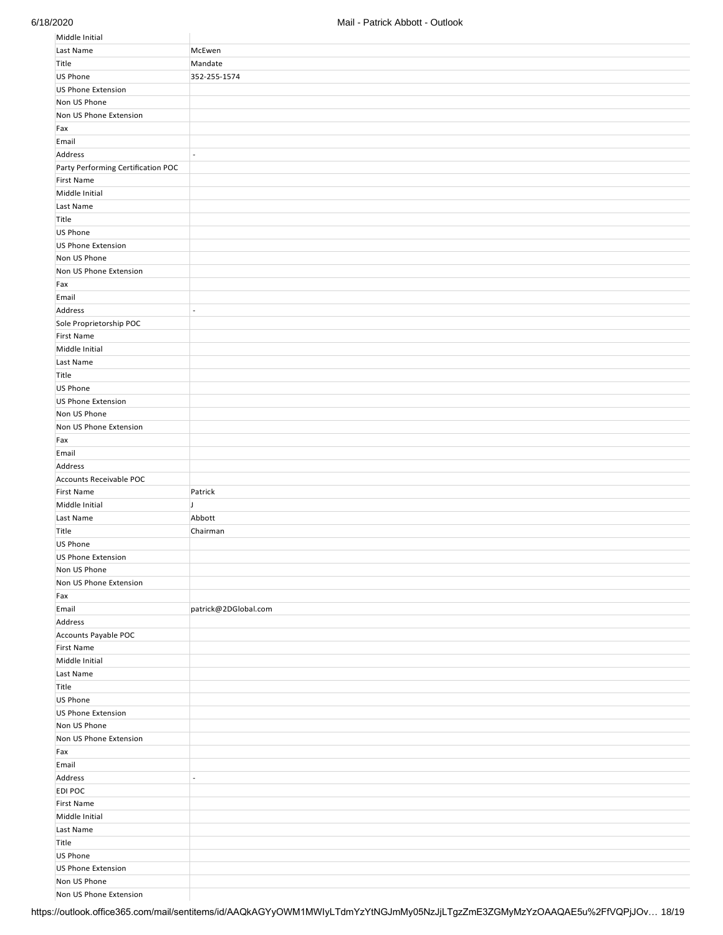| Middle Initial                         |                          |
|----------------------------------------|--------------------------|
| Last Name                              | McEwen                   |
| Title                                  | Mandate                  |
| US Phone                               | 352-255-1574             |
| <b>US Phone Extension</b>              |                          |
| Non US Phone                           |                          |
| Non US Phone Extension                 |                          |
|                                        |                          |
| Fax<br>Email                           |                          |
|                                        |                          |
| Address                                | $\overline{\phantom{a}}$ |
| Party Performing Certification POC     |                          |
| <b>First Name</b>                      |                          |
| Middle Initial                         |                          |
| Last Name                              |                          |
| Title                                  |                          |
| US Phone                               |                          |
| <b>US Phone Extension</b>              |                          |
| Non US Phone                           |                          |
| Non US Phone Extension                 |                          |
| Fax                                    |                          |
| Email                                  |                          |
| Address                                | $\overline{\phantom{a}}$ |
| Sole Proprietorship POC                |                          |
| <b>First Name</b>                      |                          |
| Middle Initial                         |                          |
| Last Name                              |                          |
| Title                                  |                          |
| US Phone                               |                          |
| <b>US Phone Extension</b>              |                          |
| Non US Phone                           |                          |
| Non US Phone Extension                 |                          |
| Fax                                    |                          |
| Email                                  |                          |
| Address                                |                          |
|                                        |                          |
| Accounts Receivable POC                |                          |
| <b>First Name</b>                      |                          |
|                                        | Patrick<br>IJ            |
| Middle Initial                         |                          |
| Last Name                              | Abbott                   |
| Title                                  | Chairman                 |
| US Phone                               |                          |
| <b>US Phone Extension</b>              |                          |
| Non US Phone                           |                          |
| Non US Phone Extension                 |                          |
| Fax                                    |                          |
| Email                                  | patrick@2DGlobal.com     |
| Address                                |                          |
| Accounts Payable POC                   |                          |
| First Name                             |                          |
| Middle Initial                         |                          |
| Last Name                              |                          |
| Title                                  |                          |
| US Phone                               |                          |
| <b>US Phone Extension</b>              |                          |
| Non US Phone                           |                          |
| Non US Phone Extension                 |                          |
| Fax                                    |                          |
| Email                                  |                          |
| Address                                | $\overline{\phantom{a}}$ |
| EDI POC                                |                          |
| First Name                             |                          |
| Middle Initial                         |                          |
| Last Name                              |                          |
| Title                                  |                          |
| US Phone                               |                          |
| <b>US Phone Extension</b>              |                          |
| Non US Phone<br>Non US Phone Extension |                          |